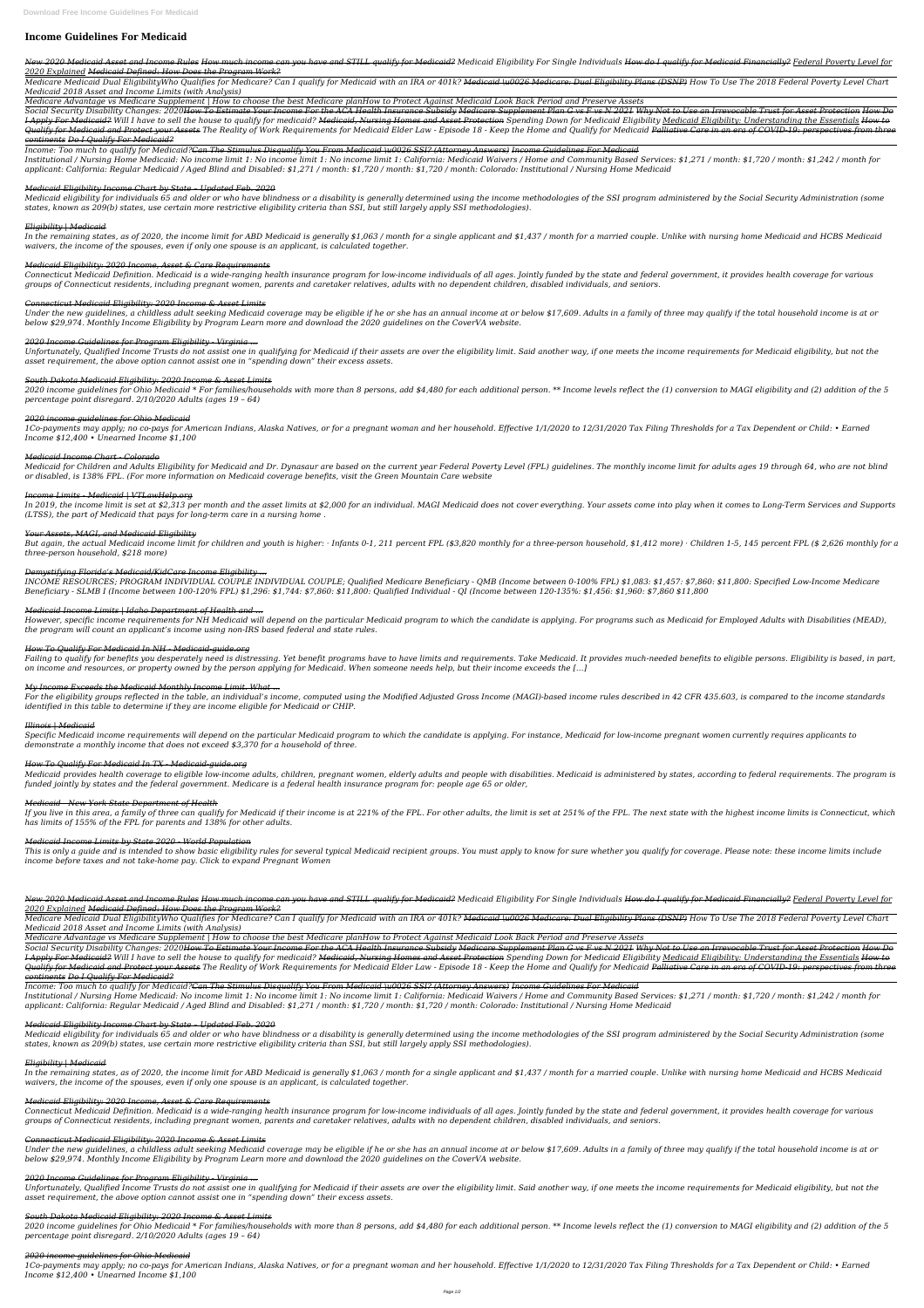# **Income Guidelines For Medicaid**

New 2020 Medicaid Asset and Income Rules How much income can you have and STILL qualify for Medicaid Eligibility For Single Individuals How do I qualify for Medicaid Financially? Federal Poverty Level for *2020 Explained Medicaid Defined: How Does the Program Work?*

Medicare Medicaid Dual EligibilityWho Qualifies for Medicare? Can I qualify for Medicaid with an IRA or 401k? <del>Medicaid \u0026 Medicare: Dual Eligibility Plans (DSNP)</del> How To Use The 2018 Federal Poverty Level Chart *Medicaid 2018 Asset and Income Limits (with Analysis)*

*Medicare Advantage vs Medicare Supplement | How to choose the best Medicare planHow to Protect Against Medicaid Look Back Period and Preserve Assets*

Social Security Disability Changes: 2020<del>How To Estimate Your Income For the ACA Health Insurance Subsidy Medicare Supplement Plan G vs F vs N 2021 Why Not to Use an Irrevocable Trust for Asset Protection How Do</del> I Apply For Medicaid? Will I have to sell the house to qualify for medicaid? Medicaid, Nursing Homes and Asset Protection Spending Down for Medicaid Eligibility Medicaid Eligibility: Understanding the Essentials How to Qualify for Medicaid and Protect your Assets The Reality of Work Requirements for Medicaid Elder Law - Episode 18 - Keep the Home and Qualify for Medicaid Palliative Care in an era of COVID-19: perspectives from three *continents Do I Qualify For Medicaid?*

Medicaid eligibility for individuals 65 and older or who have blindness or a disability is generally determined using the income methodologies of the SSI program administered by the Social Security Administration (some *states, known as 209(b) states, use certain more restrictive eligibility criteria than SSI, but still largely apply SSI methodologies).*

*Income: Too much to qualify for Medicaid?Can The Stimulus Disqualify You From Medicaid \u0026 SSI? (Attorney Answers) Income Guidelines For Medicaid*

Under the new guidelines, a childless adult seeking Medicaid coverage may be eligible if he or she has an annual income at or below \$17,609. Adults in a family of three may qualify if the total household income is at or *below \$29,974. Monthly Income Eligibility by Program Learn more and download the 2020 guidelines on the CoverVA website.*

*Institutional / Nursing Home Medicaid: No income limit 1: No income limit 1: No income limit 1: California: Medicaid Waivers / Home and Community Based Services: \$1,271 / month: \$1,720 / month: \$1,242 / month for applicant: California: Regular Medicaid / Aged Blind and Disabled: \$1,271 / month: \$1,720 / month: \$1,720 / month: Colorado: Institutional / Nursing Home Medicaid*

Unfortunately, Qualified Income Trusts do not assist one in qualifying for Medicaid if their assets are over the eligibility limit. Said another way, if one meets the income requirements for Medicaid eligibility, but not t *asset requirement, the above option cannot assist one in "spending down" their excess assets.*

# *Medicaid Eligibility Income Chart by State – Updated Feb. 2020*

2020 income guidelines for Ohio Medicaid \* For families/households with more than 8 persons, add \$4,480 for each additional person. \*\* Income levels reflect the (1) conversion to MAGI eligibility and (2) addition of the 5 *percentage point disregard. 2/10/2020 Adults (ages 19 – 64)*

# *Eligibility | Medicaid*

Medicaid for Children and Adults Eligibility for Medicaid and Dr. Dynasaur are based on the current year Federal Poverty Level (FPL) quidelines. The monthly income limit for adults ages 19 through 64, who are not blind *or disabled, is 138% FPL. (For more information on Medicaid coverage benefits, visit the Green Mountain Care website*

*In the remaining states, as of 2020, the income limit for ABD Medicaid is generally \$1,063 / month for a single applicant and \$1,437 / month for a married couple. Unlike with nursing home Medicaid and HCBS Medicaid waivers, the income of the spouses, even if only one spouse is an applicant, is calculated together.*

In 2019, the income limit is set at \$2,313 per month and the asset limits at \$2,000 for an individual. MAGI Medicaid does not cover everything. Your assets come into play when it comes to Long-Term Services and Supports *(LTSS), the part of Medicaid that pays for long-term care in a nursing home .*

# *Medicaid Eligibility: 2020 Income, Asset & Care Requirements*

But again, the actual Medicaid income limit for children and youth is higher: · Infants 0-1, 211 percent FPL (\$3,820 monthly for a three-person household, \$1,412 more) · Children 1-5, 145 percent FPL (\$ 2,626 monthly for *three-person household, \$218 more)*

*Connecticut Medicaid Definition. Medicaid is a wide-ranging health insurance program for low-income individuals of all ages. Jointly funded by the state and federal government, it provides health coverage for various groups of Connecticut residents, including pregnant women, parents and caretaker relatives, adults with no dependent children, disabled individuals, and seniors.*

# *Connecticut Medicaid Eligibility: 2020 Income & Asset Limits*

Failing to qualify for benefits you desperately need is distressing. Yet benefit programs have to have limits and requirements. Take Medicaid. It provides much-needed benefits to eligible persons. Eligibility is based, in *on income and resources, or property owned by the person applying for Medicaid. When someone needs help, but their income exceeds the […]*

# *2020 Income Guidelines for Program Eligibility - Virginia ...*

Medicaid provides health coverage to eligible low-income adults, children, pregnant women, elderly adults and people with disabilities. Medicaid is administered by states, according to federal requirements. The program is *funded jointly by states and the federal government. Medicare is a federal health insurance program for: people age 65 or older,*

# *South Dakota Medicaid Eligibility: 2020 Income & Asset Limits*

If you live in this area, a family of three can qualify for Medicaid if their income is at 221% of the FPL. For other adults, the limit is set at 251% of the FPL. The next state with the highest income limits is Connecticu *has limits of 155% of the FPL for parents and 138% for other adults.*

This is only a guide and is intended to show basic eligibility rules for several typical Medicaid recipient groups. You must apply to know for sure whether you qualify for coverage. Please note: these income limits include *income before taxes and not take-home pay. Click to expand Pregnant Women*

# *2020 income guidelines for Ohio Medicaid*

New 2020 Medicaid Asset and Income Rules How much income can you have and STILL qualify for Medicaid Eligibility Ior Single Individuals How do I qualify for Medicaid Financially? Federal Poverty Level for *2020 Explained Medicaid Defined: How Does the Program Work?*

*1Co-payments may apply; no co-pays for American Indians, Alaska Natives, or for a pregnant woman and her household. Effective 1/1/2020 to 12/31/2020 Tax Filing Thresholds for a Tax Dependent or Child: • Earned Income \$12,400 • Unearned Income \$1,100*

Medicare Medicaid Dual EligibilityWho Qualifies for Medicare? Can I qualify for Medicaid with an IRA or 401k? <del>Medicaid \u0026 Medicare: Dual Eligibility Plans (DSNP)</del> How To Use The 2018 Federal Poverty Level Chart *Medicaid 2018 Asset and Income Limits (with Analysis)*

# *Medicaid Income Chart - Colorado*

### *Income Limits - Medicaid | VTLawHelp.org*

Social Security Disability Changes: 2020<del>How To Estimate Your Income For the ACA Health Insurance Subsidy Medicare Supplement Plan G vs F vs N 2021 Why Not to Use an Irrevocable Trust for Asset Protection How Do</del> I Apply For Medicaid? Will I have to sell the house to qualify for medicaid? Medicaid, Nursing Homes and Asset Protection Spending Down for Medicaid Eligibility Medicaid Eligibility: Understanding the Essentials How to Qualify for Medicaid and Protect your Assets The Reality of Work Requirements for Medicaid Elder Law - Episode 18 - Keep the Home and Qualify for Medicaid Palliative Care in an era of COVID-19: perspectives from three *continents Do I Qualify For Medicaid?*

# *Your Assets, MAGI, and Medicaid Eligibility*

Medicaid eligibility for individuals 65 and older or who have blindness or a disability is generally determined using the income methodologies of the SSI program administered by the Social Security Administration (some *states, known as 209(b) states, use certain more restrictive eligibility criteria than SSI, but still largely apply SSI methodologies).*

# *Demystifying Florida's Medicaid/KidCare Income Eligibility ...*

*INCOME RESOURCES; PROGRAM INDIVIDUAL COUPLE INDIVIDUAL COUPLE; Qualified Medicare Beneficiary - QMB (Income between 0-100% FPL) \$1,083: \$1,457: \$7,860: \$11,800: Specified Low-Income Medicare Beneficiary - SLMB I (Income between 100-120% FPL) \$1,296: \$1,744: \$7,860: \$11,800: Qualified Individual - QI (Income between 120-135%: \$1,456: \$1,960: \$7,860 \$11,800*

Under the new guidelines, a childless adult seeking Medicaid coverage may be eligible if he or she has an annual income at or below \$17,609. Adults in a family of three may qualify if the total household income is at or *below \$29,974. Monthly Income Eligibility by Program Learn more and download the 2020 guidelines on the CoverVA website.*

# *Medicaid Income Limits | Idaho Department of Health and ...*

Unfortunately, Qualified Income Trusts do not assist one in qualifying for Medicaid if their assets are over the eligibility limit. Said another way, if one meets the income requirements for Medicaid eligibility, but not t *asset requirement, the above option cannot assist one in "spending down" their excess assets.*

*However, specific income requirements for NH Medicaid will depend on the particular Medicaid program to which the candidate is applying. For programs such as Medicaid for Employed Adults with Disabilities (MEAD), the program will count an applicant's income using non-IRS based federal and state rules.*

2020 income guidelines for Ohio Medicaid \* For families/households with more than 8 persons, add \$4,480 for each additional person. \*\* Income levels reflect the (1) conversion to MAGI eligibility and (2) addition of the 5 *percentage point disregard. 2/10/2020 Adults (ages 19 – 64)*

# *How To Qualify For Medicaid In NH - Medicaid-guide.org*

# *My Income Exceeds the Medicaid Monthly Income Limit. What ...*

*For the eligibility groups reflected in the table, an individual's income, computed using the Modified Adjusted Gross Income (MAGI)-based income rules described in 42 CFR 435.603, is compared to the income standards identified in this table to determine if they are income eligible for Medicaid or CHIP.*

# *Illinois | Medicaid*

*Specific Medicaid income requirements will depend on the particular Medicaid program to which the candidate is applying. For instance, Medicaid for low-income pregnant women currently requires applicants to demonstrate a monthly income that does not exceed \$3,370 for a household of three.*

# *How To Qualify For Medicaid In TX - Medicaid-guide.org*

# *Medicaid - New York State Department of Health*

# *Medicaid Income Limits by State 2020 - World Population*

*Medicare Advantage vs Medicare Supplement | How to choose the best Medicare planHow to Protect Against Medicaid Look Back Period and Preserve Assets*

*Income: Too much to qualify for Medicaid?Can The Stimulus Disqualify You From Medicaid \u0026 SSI? (Attorney Answers) Income Guidelines For Medicaid*

*Institutional / Nursing Home Medicaid: No income limit 1: No income limit 1: No income limit 1: California: Medicaid Waivers / Home and Community Based Services: \$1,271 / month: \$1,720 / month: \$1,242 / month for applicant: California: Regular Medicaid / Aged Blind and Disabled: \$1,271 / month: \$1,720 / month: \$1,720 / month: Colorado: Institutional / Nursing Home Medicaid*

#### *Medicaid Eligibility Income Chart by State – Updated Feb. 2020*

#### *Eligibility | Medicaid*

*In the remaining states, as of 2020, the income limit for ABD Medicaid is generally \$1,063 / month for a single applicant and \$1,437 / month for a married couple. Unlike with nursing home Medicaid and HCBS Medicaid waivers, the income of the spouses, even if only one spouse is an applicant, is calculated together.*

#### *Medicaid Eligibility: 2020 Income, Asset & Care Requirements*

*Connecticut Medicaid Definition. Medicaid is a wide-ranging health insurance program for low-income individuals of all ages. Jointly funded by the state and federal government, it provides health coverage for various groups of Connecticut residents, including pregnant women, parents and caretaker relatives, adults with no dependent children, disabled individuals, and seniors.*

#### *Connecticut Medicaid Eligibility: 2020 Income & Asset Limits*

#### *2020 Income Guidelines for Program Eligibility - Virginia ...*

#### *South Dakota Medicaid Eligibility: 2020 Income & Asset Limits*

#### *2020 income guidelines for Ohio Medicaid*

*1Co-payments may apply; no co-pays for American Indians, Alaska Natives, or for a pregnant woman and her household. Effective 1/1/2020 to 12/31/2020 Tax Filing Thresholds for a Tax Dependent or Child: • Earned Income \$12,400 • Unearned Income \$1,100*